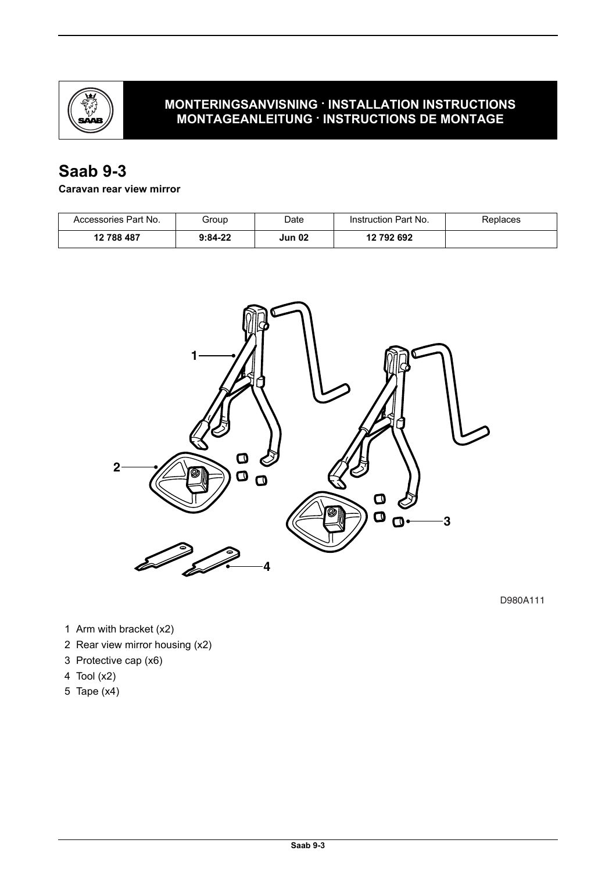

## **MONTERINGSANVISNING · INSTALLATION INSTRUCTIONS MONTAGEANLEITUNG · INSTRUCTIONS DE MONTAGE**

# **Saab 9-3**

**Caravan rear view mirror**

| Accessories Part No. | Group     | Date          | Instruction Part No. | Replaces |
|----------------------|-----------|---------------|----------------------|----------|
| 12 788 487           | $9:84-22$ | <b>Jun 02</b> | 12 792 692           |          |



D980A111

- 1 Arm with bracket (x2)
- 2 Rear view mirror housing (x2)
- 3 Protective cap (x6)
- 4 Tool (x2)
- 5 Tape (x4)